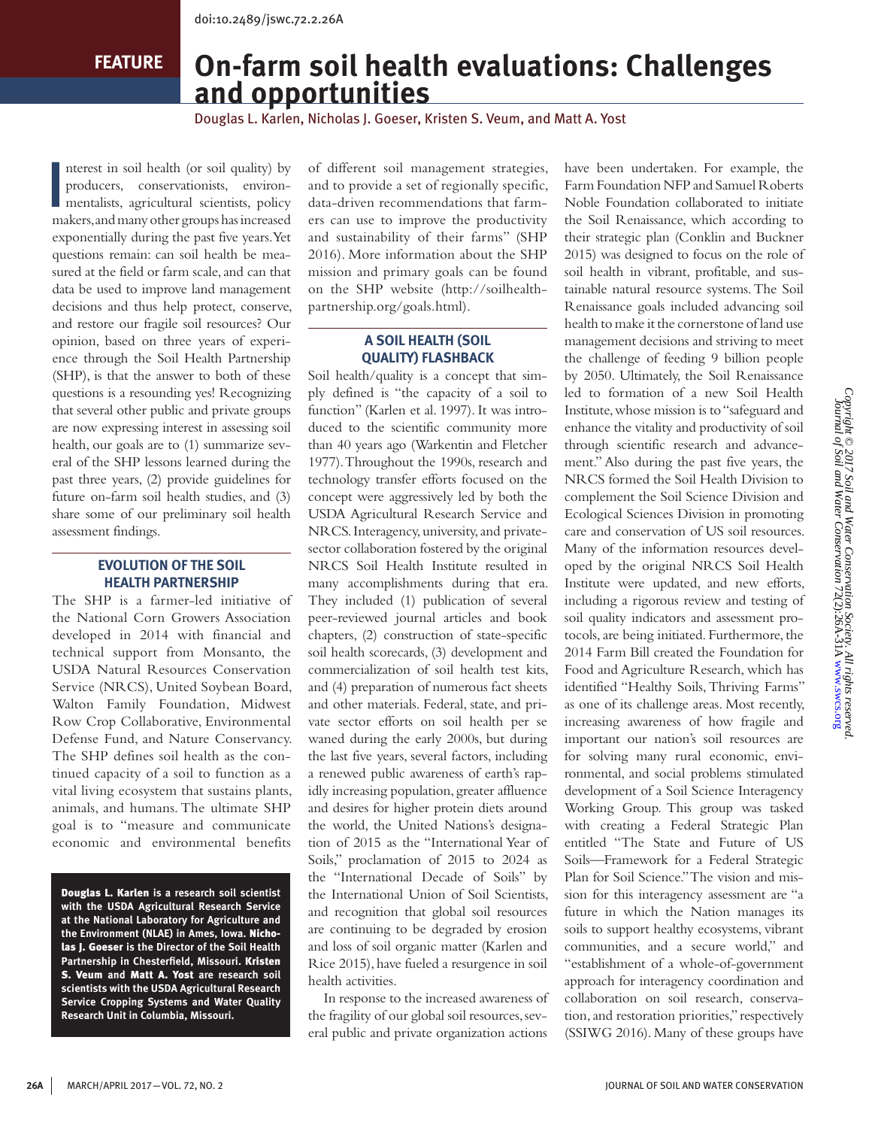**FEATURE**

# **On-farm soil health evaluations: Challenges and opportunities**

Douglas L. Karlen, Nicholas J. Goeser, Kristen S. Veum, and Matt A. Yost

I nterest in soil health (or soil quality) by producers, conservationists, environmentalists, agricultural scientists, policy makers, and many other groups has increased exponentially during the past five years. Yet questions remain: can soil health be measured at the field or farm scale, and can that data be used to improve land management decisions and thus help protect, conserve, and restore our fragile soil resources? Our opinion, based on three years of experience through the Soil Health Partnership (SHP), is that the answer to both of these questions is a resounding yes! Recognizing that several other public and private groups are now expressing interest in assessing soil health, our goals are to (1) summarize several of the SHP lessons learned during the past three years, (2) provide guidelines for future on-farm soil health studies, and (3) share some of our preliminary soil health assessment findings.

## **EVOLUTION OF THE SOIL HEALTH PARTNERSHIP**

The SHP is a farmer-led initiative of the National Corn Growers Association developed in 2014 with financial and technical support from Monsanto, the USDA Natural Resources Conservation Service (NRCS), United Soybean Board, Walton Family Foundation, Midwest Row Crop Collaborative, Environmental Defense Fund, and Nature Conservancy. The SHP defines soil health as the continued capacity of a soil to function as a vital living ecosystem that sustains plants, animals, and humans. The ultimate SHP goal is to "measure and communicate economic and environmental benefits

Douglas L. Karlen **is a research soil scientist with the USDA Agricultural Research Service at the National Laboratory for Agriculture and the Environment (NLAE) in Ames, Iowa.** Nicholas J. Goeser **is the Director of the Soil Health Partnership in Chesterfield, Missouri.** Kristen S. Veum **and** Matt A. Yost **are research soil scientists with the USDA Agricultural Research Service Cropping Systems and Water Quality Research Unit in Columbia, Missouri.** 

of different soil management strategies, and to provide a set of regionally specific, data-driven recommendations that farmers can use to improve the productivity and sustainability of their farms" (SHP 2016). More information about the SHP mission and primary goals can be found on the SHP website (http://soilhealthpartnership.org/goals.html).

## **A SOIL HEALTH (SOIL QUALITY) FLASHBACK**

Soil health/quality is a concept that simply defined is "the capacity of a soil to function" (Karlen et al. 1997). It was introduced to the scientific community more than 40 years ago (Warkentin and Fletcher 1977). Throughout the 1990s, research and technology transfer efforts focused on the concept were aggressively led by both the USDA Agricultural Research Service and NRCS. Interagency, university, and privatesector collaboration fostered by the original NRCS Soil Health Institute resulted in many accomplishments during that era. They included (1) publication of several peer-reviewed journal articles and book chapters, (2) construction of state-specific soil health scorecards, (3) development and commercialization of soil health test kits, and (4) preparation of numerous fact sheets and other materials. Federal, state, and private sector efforts on soil health per se waned during the early 2000s, but during the last five years, several factors, including a renewed public awareness of earth's rapidly increasing population, greater affluence and desires for higher protein diets around the world, the United Nations's designation of 2015 as the "International Year of Soils," proclamation of 2015 to 2024 as the "International Decade of Soils" by the International Union of Soil Scientists, and recognition that global soil resources are continuing to be degraded by erosion and loss of soil organic matter (Karlen and Rice 2015), have fueled a resurgence in soil health activities.

In response to the increased awareness of the fragility of our global soil resources, several public and private organization actions

have been undertaken. For example, the Farm Foundation NFP and Samuel Roberts Noble Foundation collaborated to initiate the Soil Renaissance, which according to their strategic plan (Conklin and Buckner 2015) was designed to focus on the role of soil health in vibrant, profitable, and sustainable natural resource systems. The Soil Renaissance goals included advancing soil health to make it the cornerstone of land use management decisions and striving to meet the challenge of feeding 9 billion people by 2050. Ultimately, the Soil Renaissance led to formation of a new Soil Health Institute, whose mission is to "safeguard and enhance the vitality and productivity of soil through scientific research and advancement." Also during the past five years, the NRCS formed the Soil Health Division to complement the Soil Science Division and Ecological Sciences Division in promoting care and conservation of US soil resources. Many of the information resources developed by the original NRCS Soil Health Institute were updated, and new efforts, including a rigorous review and testing of soil quality indicators and assessment protocols, are being initiated. Furthermore, the 2014 Farm Bill created the Foundation for Food and Agriculture Research, which has identified "Healthy Soils, Thriving Farms" as one of its challenge areas. Most recently, increasing awareness of how fragile and important our nation's soil resources are for solving many rural economic, environmental, and social problems stimulated development of a Soil Science Interagency Working Group. This group was tasked with creating a Federal Strategic Plan entitled "The State and Future of US Soils—Framework for a Federal Strategic Plan for Soil Science." The vision and mission for this interagency assessment are "a future in which the Nation manages its soils to support healthy ecosystems, vibrant communities, and a secure world," and "establishment of a whole-of-government approach for interagency coordination and collaboration on soil research, conservation, and restoration priorities," respectively (SSIWG 2016). Many of these groups have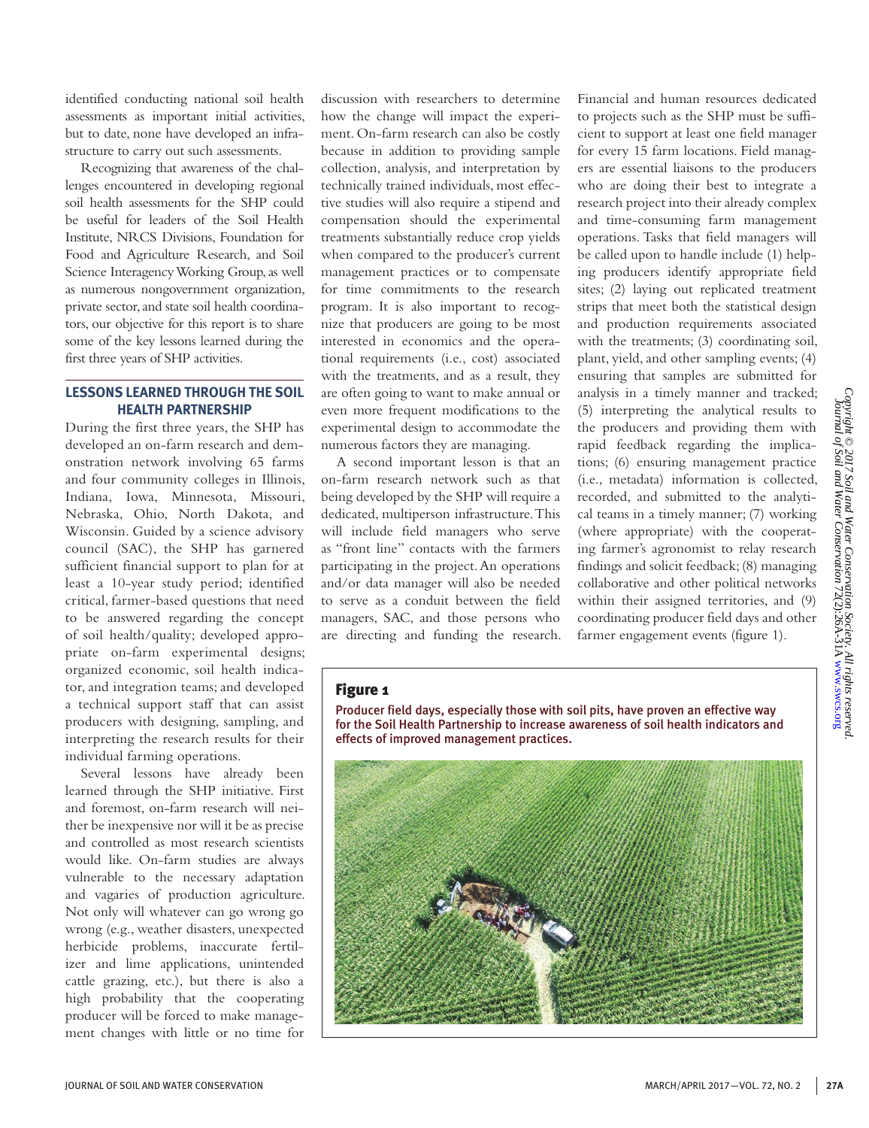identified conducting national soil health assessments as important initial activities, but to date, none have developed an infrastructure to carry out such assessments.

Recognizing that awareness of the challenges encountered in developing regional soil health assessments for the SHP could be useful for leaders of the Soil Health Institute, NRCS Divisions, Foundation for Food and Agriculture Research, and Soil Science Interagency Working Group, as well as numerous nongovernment organization, private sector, and state soil health coordinators, our objective for this report is to share some of the key lessons learned during the first three years of SHP activities.

#### **LESSONS LEARNED THROUGH THE SOIL HEALTH PARTNERSHIP**

During the first three years, the SHP has developed an on-farm research and demonstration network involving 65 farms and four community colleges in Illinois, Indiana, Iowa, Minnesota, Missouri, Nebraska, Ohio, North Dakota, and Wisconsin. Guided by a science advisory council (SAC), the SHP has garnered sufficient financial support to plan for at least a 10-year study period; identified critical, farmer-based questions that need to be answered regarding the concept of soil health/quality; developed appropriate on-farm experimental designs; organized economic, soil health indicator, and integration teams; and developed a technical support staff that can assist producers with designing, sampling, and interpreting the research results for their individual farming operations.

Several lessons have already been learned through the SHP initiative. First and foremost, on-farm research will neither be inexpensive nor will it be as precise and controlled as most research scientists would like. On-farm studies are always vulnerable to the necessary adaptation and vagaries of production agriculture. Not only will whatever can go wrong go wrong (e.g., weather disasters, unexpected herbicide problems, inaccurate fertilizer and lime applications, unintended cattle grazing, etc.), but there is also a high probability that the cooperating producer will be forced to make management changes with little or no time for

discussion with researchers to determine how the change will impact the experiment. On-farm research can also be costly because in addition to providing sample collection, analysis, and interpretation by technically trained individuals, most effective studies will also require a stipend and compensation should the experimental treatments substantially reduce crop yields when compared to the producer's current management practices or to compensate for time commitments to the research program. It is also important to recognize that producers are going to be most interested in economics and the operational requirements (i.e., cost) associated with the treatments, and as a result, they are often going to want to make annual or even more frequent modifications to the experimental design to accommodate the numerous factors they are managing.

A second important lesson is that an on-farm research network such as that being developed by the SHP will require a dedicated, multiperson infrastructure. This will include field managers who serve as "front line" contacts with the farmers participating in the project. An operations and/or data manager will also be needed to serve as a conduit between the field managers, SAC, and those persons who are directing and funding the research. Financial and human resources dedicated to projects such as the SHP must be sufficient to support at least one field manager for every 15 farm locations. Field managers are essential liaisons to the producers who are doing their best to integrate a research project into their already complex and time-consuming farm management operations. Tasks that field managers will be called upon to handle include (1) helping producers identify appropriate field sites; (2) laying out replicated treatment strips that meet both the statistical design and production requirements associated with the treatments; (3) coordinating soil, plant, yield, and other sampling events; (4) ensuring that samples are submitted for analysis in a timely manner and tracked; (5) interpreting the analytical results to the producers and providing them with rapid feedback regarding the implications; (6) ensuring management practice (i.e., metadata) information is collected, recorded, and submitted to the analytical teams in a timely manner; (7) working (where appropriate) with the cooperating farmer's agronomist to relay research findings and solicit feedback; (8) managing collaborative and other political networks within their assigned territories, and (9) coordinating producer field days and other farmer engagement events (figure 1).

## Figure 1

Producer field days, especially those with soil pits, have proven an effective way for the Soil Health Partnership to increase awareness of soil health indicators and effects of improved management practices.

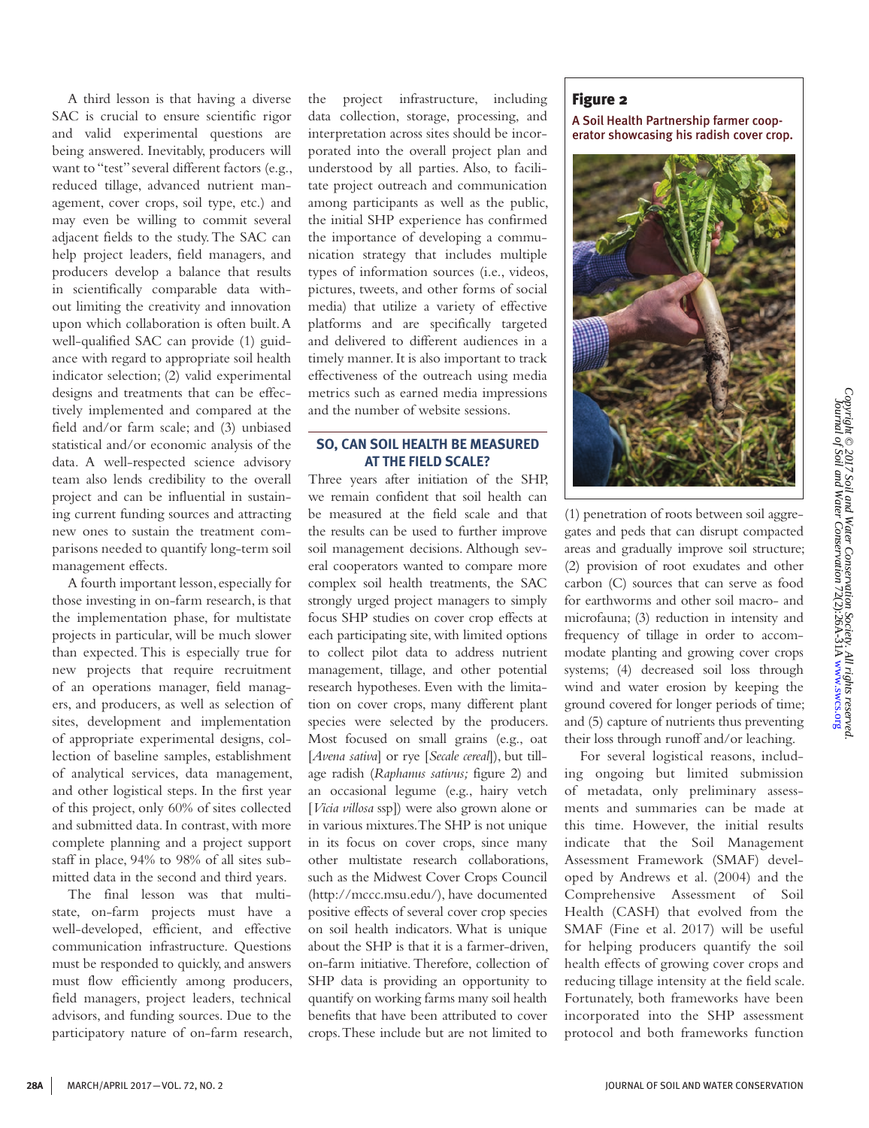A third lesson is that having a diverse SAC is crucial to ensure scientific rigor and valid experimental questions are being answered. Inevitably, producers will want to "test" several different factors (e.g., reduced tillage, advanced nutrient management, cover crops, soil type, etc.) and may even be willing to commit several adjacent fields to the study. The SAC can help project leaders, field managers, and producers develop a balance that results in scientifically comparable data without limiting the creativity and innovation upon which collaboration is often built. A well-qualified SAC can provide (1) guidance with regard to appropriate soil health indicator selection; (2) valid experimental designs and treatments that can be effectively implemented and compared at the field and/or farm scale; and (3) unbiased statistical and/or economic analysis of the data. A well-respected science advisory team also lends credibility to the overall project and can be influential in sustaining current funding sources and attracting new ones to sustain the treatment comparisons needed to quantify long-term soil management effects.

A fourth important lesson, especially for those investing in on-farm research, is that the implementation phase, for multistate projects in particular, will be much slower than expected. This is especially true for new projects that require recruitment of an operations manager, field managers, and producers, as well as selection of sites, development and implementation of appropriate experimental designs, collection of baseline samples, establishment of analytical services, data management, and other logistical steps. In the first year of this project, only 60% of sites collected and submitted data. In contrast, with more complete planning and a project support staff in place, 94% to 98% of all sites submitted data in the second and third years.

The final lesson was that multistate, on-farm projects must have a well-developed, efficient, and effective communication infrastructure. Questions must be responded to quickly, and answers must flow efficiently among producers, field managers, project leaders, technical advisors, and funding sources. Due to the participatory nature of on-farm research, the project infrastructure, including data collection, storage, processing, and interpretation across sites should be incorporated into the overall project plan and understood by all parties. Also, to facilitate project outreach and communication among participants as well as the public, the initial SHP experience has confirmed the importance of developing a communication strategy that includes multiple types of information sources (i.e., videos, pictures, tweets, and other forms of social media) that utilize a variety of effective platforms and are specifically targeted and delivered to different audiences in a timely manner. It is also important to track effectiveness of the outreach using media metrics such as earned media impressions and the number of website sessions.

#### **SO, CAN SOIL HEALTH BE MEASURED AT THE FIELD SCALE?**

Three years after initiation of the SHP, we remain confident that soil health can be measured at the field scale and that the results can be used to further improve soil management decisions. Although several cooperators wanted to compare more complex soil health treatments, the SAC strongly urged project managers to simply focus SHP studies on cover crop effects at each participating site, with limited options to collect pilot data to address nutrient management, tillage, and other potential research hypotheses. Even with the limitation on cover crops, many different plant species were selected by the producers. Most focused on small grains (e.g., oat [*Avena sativa*] or rye [*Secale cereal*]), but tillage radish (*Raphanus sativus;* figure 2) and an occasional legume (e.g., hairy vetch [*Vicia villosa* ssp]) were also grown alone or in various mixtures. The SHP is not unique in its focus on cover crops, since many other multistate research collaborations, such as the Midwest Cover Crops Council (http://mccc.msu.edu/), have documented positive effects of several cover crop species on soil health indicators. What is unique about the SHP is that it is a farmer-driven, on-farm initiative. Therefore, collection of SHP data is providing an opportunity to quantify on working farms many soil health benefits that have been attributed to cover crops. These include but are not limited to

## Figure 2

A Soil Health Partnership farmer cooperator showcasing his radish cover crop.



(1) penetration of roots between soil aggregates and peds that can disrupt compacted areas and gradually improve soil structure; (2) provision of root exudates and other carbon (C) sources that can serve as food for earthworms and other soil macro- and microfauna; (3) reduction in intensity and frequency of tillage in order to accommodate planting and growing cover crops systems; (4) decreased soil loss through wind and water erosion by keeping the ground covered for longer periods of time; and (5) capture of nutrients thus preventing their loss through runoff and/or leaching.

For several logistical reasons, including ongoing but limited submission of metadata, only preliminary assessments and summaries can be made at this time. However, the initial results indicate that the Soil Management Assessment Framework (SMAF) developed by Andrews et al. (2004) and the Comprehensive Assessment of Soil Health (CASH) that evolved from the SMAF (Fine et al. 2017) will be useful for helping producers quantify the soil health effects of growing cover crops and reducing tillage intensity at the field scale. Fortunately, both frameworks have been incorporated into the SHP assessment protocol and both frameworks function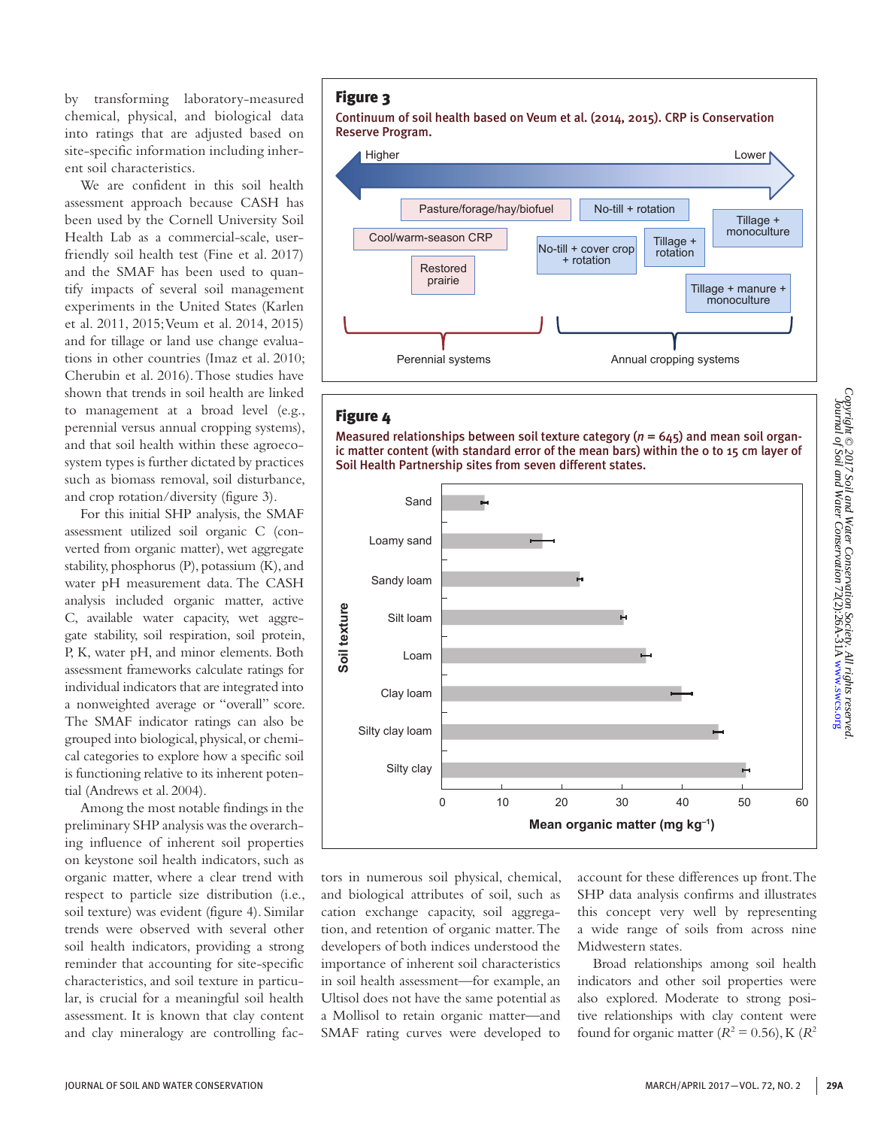by transforming laboratory-measured chemical, physical, and biological data into ratings that are adjusted based on site-specific information including inherent soil characteristics.

We are confident in this soil health assessment approach because CASH has been used by the Cornell University Soil Health Lab as a commercial-scale, userfriendly soil health test (Fine et al. 2017) and the SMAF has been used to quantify impacts of several soil management experiments in the United States (Karlen et al. 2011, 2015; Veum et al. 2014, 2015) and for tillage or land use change evaluations in other countries (Imaz et al. 2010; Cherubin et al. 2016). Those studies have shown that trends in soil health are linked to management at a broad level (e.g., perennial versus annual cropping systems), and that soil health within these agroecosystem types is further dictated by practices such as biomass removal, soil disturbance, and crop rotation/diversity (figure 3).

For this initial SHP analysis, the SMAF assessment utilized soil organic C (converted from organic matter), wet aggregate stability, phosphorus (P), potassium (K), and water pH measurement data. The CASH analysis included organic matter, active C, available water capacity, wet aggregate stability, soil respiration, soil protein, P, K, water pH, and minor elements. Both assessment frameworks calculate ratings for individual indicators that are integrated into a nonweighted average or "overall" score. The SMAF indicator ratings can also be grouped into biological, physical, or chemical categories to explore how a specific soil is functioning relative to its inherent potential (Andrews et al. 2004).

Among the most notable findings in the preliminary SHP analysis was the overarching influence of inherent soil properties on keystone soil health indicators, such as organic matter, where a clear trend with respect to particle size distribution (i.e., soil texture) was evident (figure 4). Similar trends were observed with several other soil health indicators, providing a strong reminder that accounting for site-specific characteristics, and soil texture in particular, is crucial for a meaningful soil health assessment. It is known that clay content and clay mineralogy are controlling fac-

#### Figure 3

Continuum of soil health based on Veum et al. (2014, 2015). CRP is Conservation Reserve Program.



## Figure 4

Measured relationships between soil texture category (*n* = 645) and mean soil organic matter content (with standard error of the mean bars) within the 0 to 15 cm layer of Soil Health Partnership sites from seven different states.



tors in numerous soil physical, chemical, and biological attributes of soil, such as cation exchange capacity, soil aggregation, and retention of organic matter. The developers of both indices understood the importance of inherent soil characteristics in soil health assessment—for example, an Ultisol does not have the same potential as a Mollisol to retain organic matter—and SMAF rating curves were developed to account for these differences up front. The SHP data analysis confirms and illustrates this concept very well by representing a wide range of soils from across nine Midwestern states.

Broad relationships among soil health indicators and other soil properties were also explored. Moderate to strong positive relationships with clay content were found for organic matter  $(R^2 = 0.56)$ , K  $(R^2)$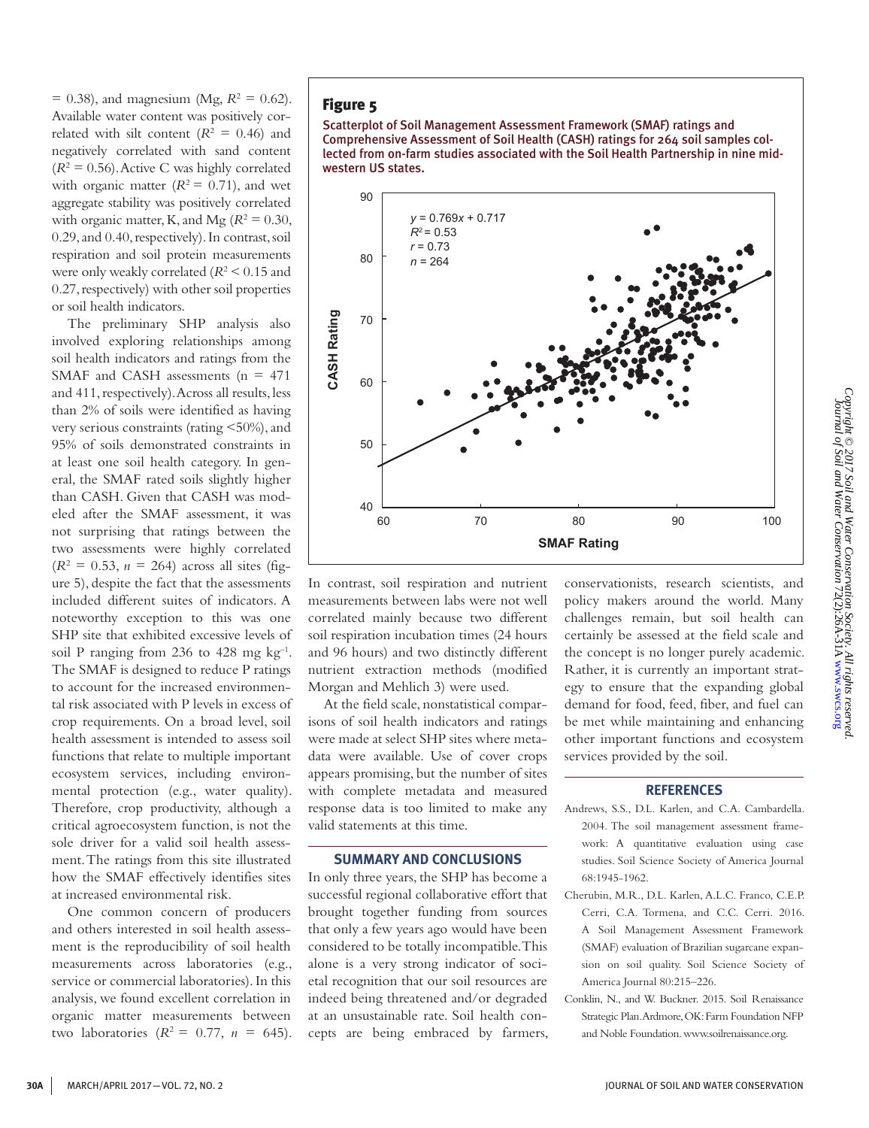$= 0.38$ ), and magnesium (Mg,  $R^2 = 0.62$ ). Available water content was positively correlated with silt content  $(R^2 = 0.46)$  and negatively correlated with sand content  $(R<sup>2</sup> = 0.56)$ . Active C was highly correlated with organic matter  $(R^2 = 0.71)$ , and wet aggregate stability was positively correlated with organic matter, K, and Mg  $(R^2 = 0.30)$ , 0.29, and 0.40, respectively). In contrast, soil respiration and soil protein measurements were only weakly correlated  $(R^2 \le 0.15$  and 0.27, respectively) with other soil properties or soil health indicators.

The preliminary SHP analysis also involved exploring relationships among soil health indicators and ratings from the SMAF and CASH assessments ( $n = 471$ and 411, respectively). Across all results, less than 2% of soils were identified as having very serious constraints (rating <50%), and 95% of soils demonstrated constraints in at least one soil health category. In general, the SMAF rated soils slightly higher than CASH. Given that CASH was modeled after the SMAF assessment, it was not surprising that ratings between the two assessments were highly correlated  $(R^2 = 0.53, n = 264)$  across all sites (figure 5), despite the fact that the assessments included different suites of indicators. A noteworthy exception to this was one SHP site that exhibited excessive levels of soil P ranging from 236 to 428 mg  $kg^{-1}$ . The SMAF is designed to reduce P ratings to account for the increased environmental risk associated with P levels in excess of crop requirements. On a broad level, soil health assessment is intended to assess soil functions that relate to multiple important ecosystem services, including environmental protection (e.g., water quality). Therefore, crop productivity, although a critical agroecosystem function, is not the sole driver for a valid soil health assessment. The ratings from this site illustrated how the SMAF effectively identifies sites at increased environmental risk.

One common concern of producers and others interested in soil health assessment is the reproducibility of soil health measurements across laboratories (e.g., service or commercial laboratories). In this analysis, we found excellent correlation in organic matter measurements between two laboratories  $(R^2 = 0.77, n = 645)$ .

## Figure 5

Scatterplot of Soil Management Assessment Framework (SMAF) ratings and Comprehensive Assessment of Soil Health (CASH) ratings for 264 soil samples collected from on-farm studies associated with the Soil Health Partnership in nine midwestern US states.



In contrast, soil respiration and nutrient measurements between labs were not well correlated mainly because two different soil respiration incubation times (24 hours and 96 hours) and two distinctly different nutrient extraction methods (modified Morgan and Mehlich 3) were used.

At the field scale, nonstatistical comparisons of soil health indicators and ratings were made at select SHP sites where metadata were available. Use of cover crops appears promising, but the number of sites with complete metadata and measured response data is too limited to make any valid statements at this time.

#### **SUMMARY AND CONCLUSIONS**

In only three years, the SHP has become a successful regional collaborative effort that brought together funding from sources that only a few years ago would have been considered to be totally incompatible. This alone is a very strong indicator of societal recognition that our soil resources are indeed being threatened and/or degraded at an unsustainable rate. Soil health concepts are being embraced by farmers, conservationists, research scientists, and policy makers around the world. Many challenges remain, but soil health can certainly be assessed at the field scale and the concept is no longer purely academic. Rather, it is currently an important strategy to ensure that the expanding global demand for food, feed, fiber, and fuel can be met while maintaining and enhancing other important functions and ecosystem services provided by the soil.

#### **REFERENCES**

- Andrews, S.S., D.L. Karlen, and C.A. Cambardella. 2004. The soil management assessment framework: A quantitative evaluation using case studies. Soil Science Society of America Journal 68:1945-1962.
- Cherubin, M.R., D.L. Karlen, A.L.C. Franco, C.E.P. Cerri, C.A. Tormena, and C.C. Cerri. 2016. A Soil Management Assessment Framework (SMAF) evaluation of Brazilian sugarcane expansion on soil quality. Soil Science Society of America Journal 80:215–226.
- Conklin, N., and W. Buckner. 2015. Soil Renaissance Strategic Plan. Ardmore, OK: Farm Foundation NFP and Noble Foundation. www.soilrenaissance.org.